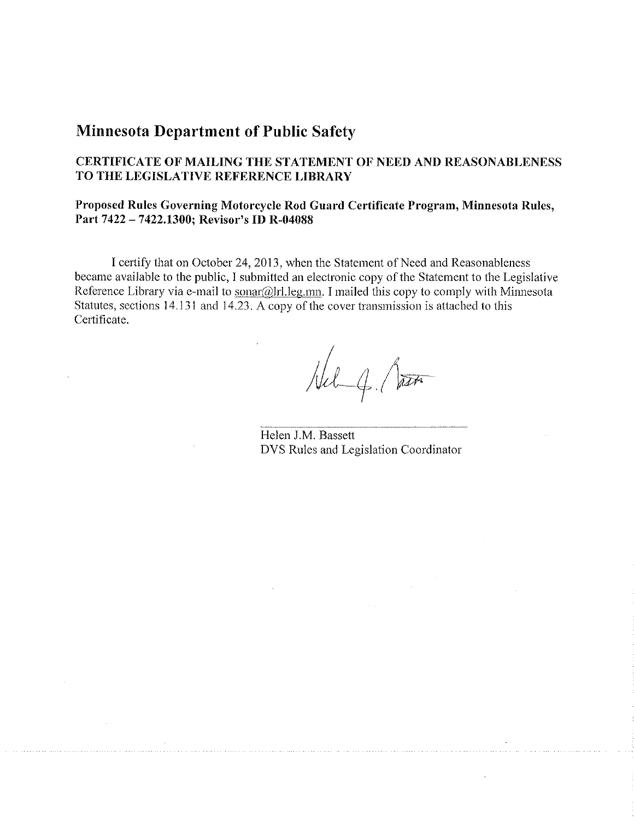## **Minnesota Department of Public Safety**

### **CERTIFICATE OF MAILING THE STATEMENT OF NEED AND REASONABLENESS TO THE LEGISLATIVE REFERENCE LIBRARY**

#### **Proposed Rules Governing Motorcycle Rod Guard Certificate Program, Minnesota Rules, Part 7422 - 7422.1300; Revisor's ID R-04088**

I certify that on October 24, 2013, when the Statement of Need and Reasonableness became available to the public, I submitted an electronic copy of the Statement to the Legislative Reference Library via e-mail to sonar@lrl.leg.mn. I mailed this copy to comply with Minnesota Statutes, sections 14.131 and 14.23. A copy of the cover transmission is attached to this Certificate.

Hel q. Part

Helen J.M. Bassett DYS Rules and Legislation Coordinator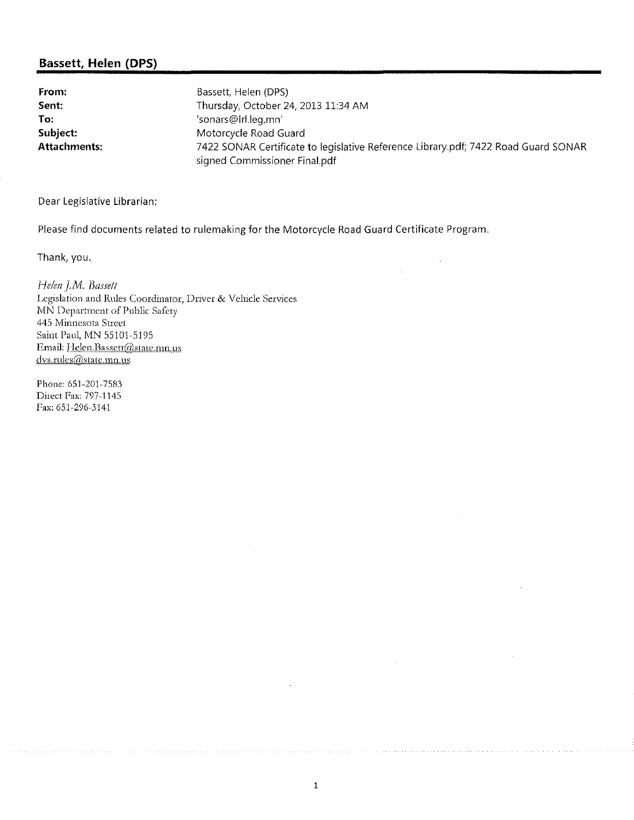#### **Bassett, Helen (DPS)**

**From:** Bassett, Helen (DPS) **Sent:** Thursday, October 24, 2013 11:34 AM **To:** 'sonars@lrl.leg.mn' **Subject:** Motorcycle Road Guard **Attachments:** 7422 SONAR Certificate to legislative Reference Library.pdf; 7422 Road Guard SONAR signed Commissioner Final.pdf

Dear Legislative Librarian:

Please find documents related to rulemaking for the Motorcycle Road Guard Certificate Program.

Thank, you.

Helen J.M. Bassett **l,egislation and H.ules C:oordinator, !)river & Vehicle Services MN Department of Public Safety** 445 Minnesota Street Saint Paul, MN 55101-5195 Email: Helen. Bassett@state.mn.us dvs.rules@state.mn.us

Phone: 651-201-7583 Direct Fax: 797-1145 Fax: 651-296-3141